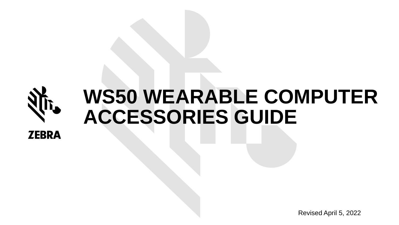

# **WS50 WEARABLE COMPUTER ACCESSORIES GUIDE**

Revised April 5, 2022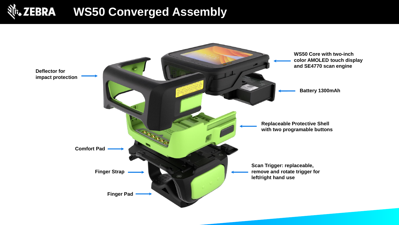# शी: ZEBRA WS50 Converged Assembly

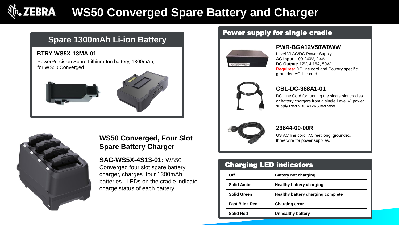# **WS50 Converged Spare Battery and Charger**

# **Spare 1300mAh Li-ion Battery**

### **BTRY-WS5X-13MA-01**

PowerPrecision Spare Lithium-Ion battery, 1300mAh, for WS50 Converged





# **WS50 Converged, Four Slot Spare Battery Charger**

**SAC-WS5X-4S13-01:** WS50 Converged four slot spare battery charger, charges four 1300mAh batteries. LEDs on the cradle indicate charge status of each battery.

# Power supply for single cradle



### **PWR-BGA12V50W0WW**

Level VI AC/DC Power Supply **AC Input:** 100-240V, 2.4A **DC Output:** 12V, 4.16A, 50W **Requires:** DC line cord and Country specific grounded AC line cord.



### **CBL-DC-388A1-01**

DC Line Cord for running the single slot cradles or battery chargers from a single Level VI power supply PWR-BGA12V50W0WW



### **23844-00-00R**

US AC line cord, 7.5 feet long, grounded, three wire for power supplies.

| Off                   | <b>Battery not charging</b>              |
|-----------------------|------------------------------------------|
| <b>Solid Amber</b>    | <b>Healthy battery charging</b>          |
| <b>Solid Green</b>    | <b>Healthy battery charging complete</b> |
| <b>Fast Blink Red</b> | <b>Charging error</b>                    |
| <b>Solid Red</b>      | Unhealthy battery                        |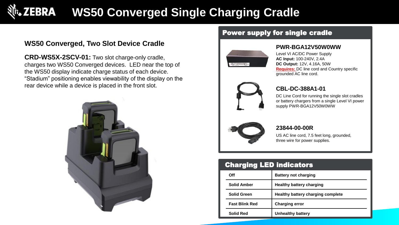# **WS50 Converged Single Charging Cradle**

# **WS50 Converged, Two Slot Device Cradle**

**CRD-WS5X-2SCV-01:** Two slot charge-only cradle, charges two WS50 Converged devices. LED near the top of the WS50 display indicate charge status of each device. "Stadium" positioning enables viewability of the display on the rear device while a device is placed in the front slot.



### Power supply for single cradle



#### **PWR-BGA12V50W0WW**

Level VI AC/DC Power Supply **AC Input:** 100-240V, 2.4A **DC Output:** 12V, 4.16A, 50W **Requires:** DC line cord and Country specific grounded AC line cord.



### **CBL-DC-388A1-01**

DC Line Cord for running the single slot cradles or battery chargers from a single Level VI power supply PWR-BGA12V50W0WW



#### **23844-00-00R**

US AC line cord, 7.5 feet long, grounded, three wire for power supplies.

| Off                   | <b>Battery not charging</b>       |
|-----------------------|-----------------------------------|
| <b>Solid Amber</b>    | <b>Healthy battery charging</b>   |
| <b>Solid Green</b>    | Healthy battery charging complete |
| <b>Fast Blink Red</b> | <b>Charging error</b>             |
| <b>Solid Red</b>      | <b>Unhealthy battery</b>          |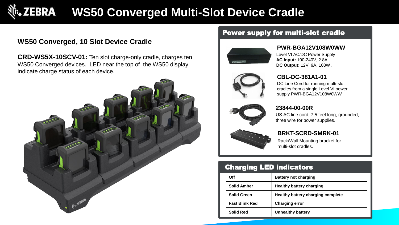# **WS50 Converged Multi-Slot Device Cradle**

# **WS50 Converged, 10 Slot Device Cradle**

**CRD-WS5X-10SCV-01:** Ten slot charge-only cradle, charges ten WS50 Converged devices. LED near the top of the WS50 display indicate charge status of each device.



# Power supply for multi-slot cradle



### **PWR-BGA12V108W0WW**

Level VI AC/DC Power Supply **AC Input:** 100-240V, 2.8A **DC Output:** 12V, 9A, 108W .



# **CBL-DC-381A1-01**

DC Line Cord for running multi-slot cradles from a single Level VI power supply PWR-BGA12V108W0WW



### **23844-00-00R**

US AC line cord, 7.5 feet long, grounded, three wire for power supplies.



# **BRKT-SCRD-SMRK-01**

Rack/Wall Mounting bracket for multi-slot cradles.

| Off                   | <b>Battery not charging</b>       |
|-----------------------|-----------------------------------|
| <b>Solid Amber</b>    | Healthy battery charging          |
| <b>Solid Green</b>    | Healthy battery charging complete |
| <b>Fast Blink Red</b> | <b>Charging error</b>             |
| <b>Solid Red</b>      | <b>Unhealthy battery</b>          |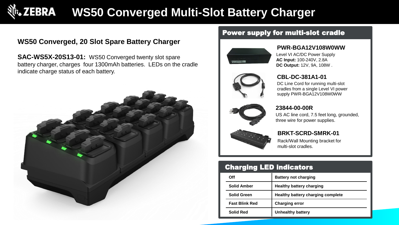# **ZEBRA WS50 Converged Multi-Slot Battery Charger**

# **WS50 Converged, 20 Slot Spare Battery Charger**

**SAC-WS5X-20S13-01:** WS50 Converged twenty slot spare battery charger, charges four 1300mAh batteries. LEDs on the cradle indicate charge status of each battery.



# Power supply for multi-slot cradle



### **PWR-BGA12V108W0WW**

Level VI AC/DC Power Supply **AC Input:** 100-240V, 2.8A **DC Output:** 12V, 9A, 108W .



# **CBL-DC-381A1-01**

DC Line Cord for running multi-slot cradles from a single Level VI power supply PWR-BGA12V108W0WW



#### **23844-00-00R**

US AC line cord, 7.5 feet long, grounded, three wire for power supplies.



### **BRKT-SCRD-SMRK-01**

Rack/Wall Mounting bracket for multi-slot cradles.

| Off                   | <b>Battery not charging</b>              |
|-----------------------|------------------------------------------|
| <b>Solid Amber</b>    | <b>Healthy battery charging</b>          |
| <b>Solid Green</b>    | <b>Healthy battery charging complete</b> |
| <b>Fast Blink Red</b> | <b>Charging error</b>                    |
| <b>Solid Red</b>      | <b>Unhealthy battery</b>                 |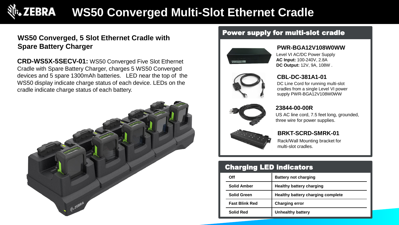# **WS50 Converged Multi-Slot Ethernet Cradle**

# **WS50 Converged, 5 Slot Ethernet Cradle with Spare Battery Charger**

**CRD-WS5X-5SECV-01:** WS50 Converged Five Slot Ethernet Cradle with Spare Battery Charger, charges 5 WS50 Converged devices and 5 spare 1300mAh batteries. LED near the top of the WS50 display indicate charge status of each device. LEDs on the cradle indicate charge status of each battery.



# Power supply for multi-slot cradle



### **PWR-BGA12V108W0WW**

Level VI AC/DC Power Supply **AC Input:** 100-240V, 2.8A **DC Output:** 12V, 9A, 108W .



# **CBL-DC-381A1-01**

DC Line Cord for running multi-slot cradles from a single Level VI power supply PWR-BGA12V108W0WW



### **23844-00-00R**

US AC line cord, 7.5 feet long, grounded, three wire for power supplies.



# **BRKT-SCRD-SMRK-01**

Rack/Wall Mounting bracket for multi-slot cradles.

| Off                   | <b>Battery not charging</b>       |
|-----------------------|-----------------------------------|
| <b>Solid Amber</b>    | <b>Healthy battery charging</b>   |
| <b>Solid Green</b>    | Healthy battery charging complete |
| <b>Fast Blink Red</b> | <b>Charging error</b>             |
| Solid Red             | <b>Unhealthy battery</b>          |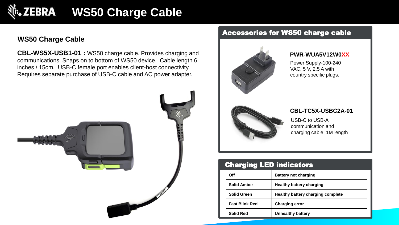# **M. ZEBRA WS50 Charge Cable**

# **WS50 Charge Cable**

**CBL-WS5X-USB1-01 :** WS50 charge cable. Provides charging and communications. Snaps on to bottom of WS50 device. Cable length 6 inches / 15cm. USB-C female port enables client-host connectivity. Requires separate purchase of USB-C cable and AC power adapter.



# Accessories for WS50 charge cable



#### **PWR-WUA5V12W0XX**

Power Supply-100-240 VAC, 5 V, 2.5 A with country specific plugs.



#### **CBL-TC5X-USBC2A-01**

USB-C to USB-A communication and charging cable, 1M length

| Off                   | <b>Battery not charging</b>       |
|-----------------------|-----------------------------------|
| <b>Solid Amber</b>    | <b>Healthy battery charging</b>   |
| <b>Solid Green</b>    | Healthy battery charging complete |
| <b>Fast Blink Red</b> | <b>Charging error</b>             |
| Solid Red             | Unhealthy battery                 |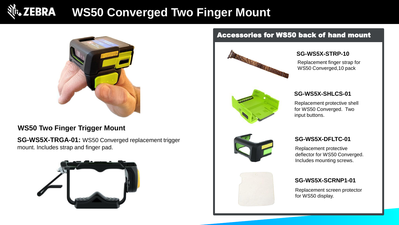# **ZEBRA WS50 Converged Two Finger Mount**



# **WS50 Two Finger Trigger Mount**

**SG-WS5X-TRGA-01:** WS50 Converged replacement trigger mount. Includes strap and finger pad.



# Accessories for WS50 back of hand mount



### **SG-WS5X-STRP-10**

Replacement finger strap for WS50 Converged,10 pack



### **SG-WS5X-SHLCS-01**

Replacement protective shell for WS50 Converged. Two input buttons.



### **SG-WS5X-DFLTC-01**

Replacement protective deflector for WS50 Converged. Includes mounting screws.



### **SG-WS5X-SCRNP1-01**

Replacement screen protector for WS50 display.